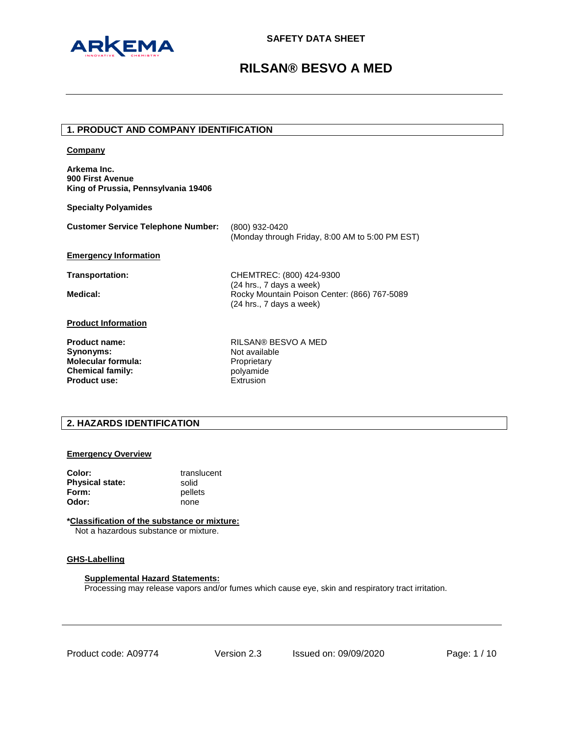

# **1. PRODUCT AND COMPANY IDENTIFICATION**

| Company                                                                |                                                                                                        |
|------------------------------------------------------------------------|--------------------------------------------------------------------------------------------------------|
| Arkema Inc.<br>900 First Avenue<br>King of Prussia, Pennsylvania 19406 |                                                                                                        |
| <b>Specialty Polyamides</b>                                            |                                                                                                        |
| <b>Customer Service Telephone Number:</b>                              | (800) 932-0420<br>(Monday through Friday, 8:00 AM to 5:00 PM EST)                                      |
| <b>Emergency Information</b>                                           |                                                                                                        |
| <b>Transportation:</b>                                                 | CHEMTREC: (800) 424-9300                                                                               |
| Medical:                                                               | (24 hrs., 7 days a week)<br>Rocky Mountain Poison Center: (866) 767-5089<br>$(24$ hrs., 7 days a week) |
| <b>Product Information</b>                                             |                                                                                                        |
| <b>Product name:</b>                                                   | RILSAN® BESVO A MED                                                                                    |
| Synonyms:                                                              | Not available                                                                                          |
| <b>Molecular formula:</b>                                              | Proprietary                                                                                            |
| <b>Chemical family:</b>                                                | polyamide                                                                                              |
| Product use:                                                           | Extrusion                                                                                              |

# **2. HAZARDS IDENTIFICATION**

## **Emergency Overview**

| Color:                 | translucent |
|------------------------|-------------|
| <b>Physical state:</b> | solid       |
| Form:                  | pellets     |
| Odor:                  | none        |

## **\*Classification of the substance or mixture:**

Not a hazardous substance or mixture.

## **GHS-Labelling**

## **Supplemental Hazard Statements:**

Processing may release vapors and/or fumes which cause eye, skin and respiratory tract irritation.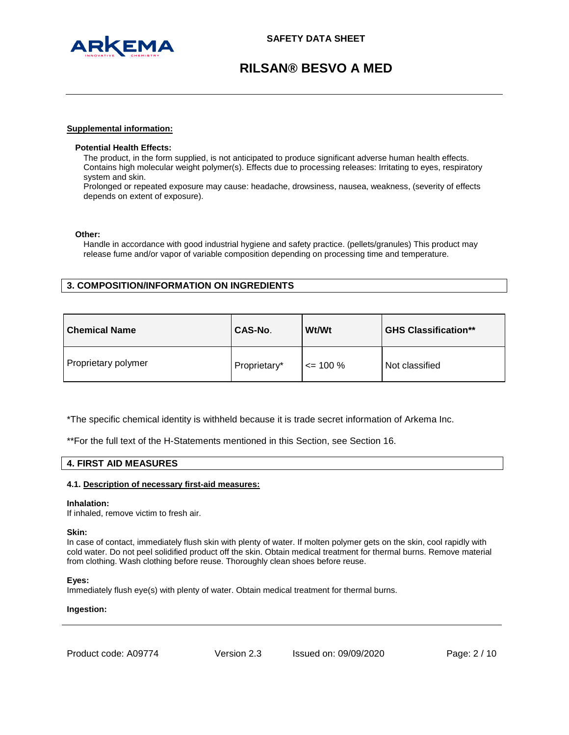

### **Supplemental information:**

## **Potential Health Effects:**

The product, in the form supplied, is not anticipated to produce significant adverse human health effects. Contains high molecular weight polymer(s). Effects due to processing releases: Irritating to eyes, respiratory system and skin.

Prolonged or repeated exposure may cause: headache, drowsiness, nausea, weakness, (severity of effects depends on extent of exposure).

### **Other:**

Handle in accordance with good industrial hygiene and safety practice. (pellets/granules) This product may release fume and/or vapor of variable composition depending on processing time and temperature.

## **3. COMPOSITION/INFORMATION ON INGREDIENTS**

| <b>Chemical Name</b> | CAS-No.      | Wt/Wt        | <b>GHS Classification**</b> |
|----------------------|--------------|--------------|-----------------------------|
| Proprietary polymer  | Proprietary* | $\leq$ 100 % | Not classified              |

\*The specific chemical identity is withheld because it is trade secret information of Arkema Inc.

\*\*For the full text of the H-Statements mentioned in this Section, see Section 16.

## **4. FIRST AID MEASURES**

### **4.1. Description of necessary first-aid measures:**

### **Inhalation:**

If inhaled, remove victim to fresh air.

### **Skin:**

In case of contact, immediately flush skin with plenty of water. If molten polymer gets on the skin, cool rapidly with cold water. Do not peel solidified product off the skin. Obtain medical treatment for thermal burns. Remove material from clothing. Wash clothing before reuse. Thoroughly clean shoes before reuse.

### **Eyes:**

Immediately flush eye(s) with plenty of water. Obtain medical treatment for thermal burns.

### **Ingestion:**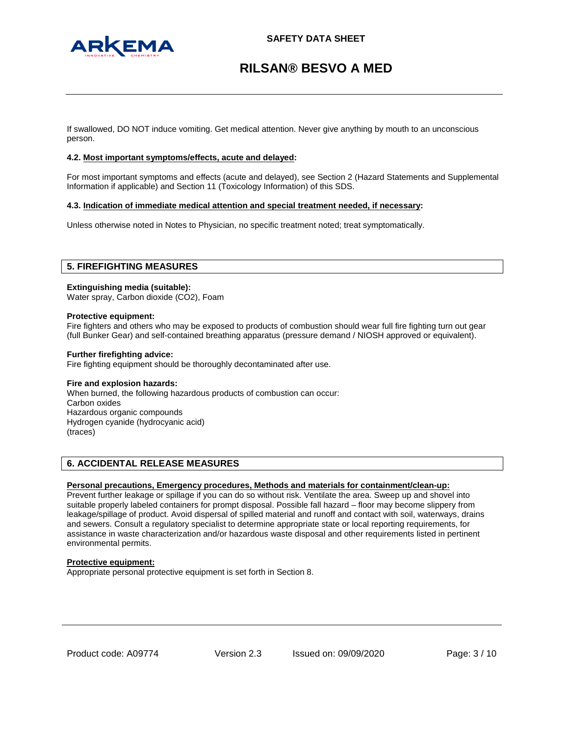

If swallowed, DO NOT induce vomiting. Get medical attention. Never give anything by mouth to an unconscious person.

## **4.2. Most important symptoms/effects, acute and delayed:**

For most important symptoms and effects (acute and delayed), see Section 2 (Hazard Statements and Supplemental Information if applicable) and Section 11 (Toxicology Information) of this SDS.

### **4.3. Indication of immediate medical attention and special treatment needed, if necessary:**

Unless otherwise noted in Notes to Physician, no specific treatment noted; treat symptomatically.

## **5. FIREFIGHTING MEASURES**

### **Extinguishing media (suitable):**

Water spray, Carbon dioxide (CO2), Foam

### **Protective equipment:**

Fire fighters and others who may be exposed to products of combustion should wear full fire fighting turn out gear (full Bunker Gear) and self-contained breathing apparatus (pressure demand / NIOSH approved or equivalent).

### **Further firefighting advice:**

Fire fighting equipment should be thoroughly decontaminated after use.

### **Fire and explosion hazards:**

When burned, the following hazardous products of combustion can occur: Carbon oxides Hazardous organic compounds Hydrogen cyanide (hydrocyanic acid) (traces)

## **6. ACCIDENTAL RELEASE MEASURES**

## **Personal precautions, Emergency procedures, Methods and materials for containment/clean-up:**

Prevent further leakage or spillage if you can do so without risk. Ventilate the area. Sweep up and shovel into suitable properly labeled containers for prompt disposal. Possible fall hazard – floor may become slippery from leakage/spillage of product. Avoid dispersal of spilled material and runoff and contact with soil, waterways, drains and sewers. Consult a regulatory specialist to determine appropriate state or local reporting requirements, for assistance in waste characterization and/or hazardous waste disposal and other requirements listed in pertinent environmental permits.

### **Protective equipment:**

Appropriate personal protective equipment is set forth in Section 8.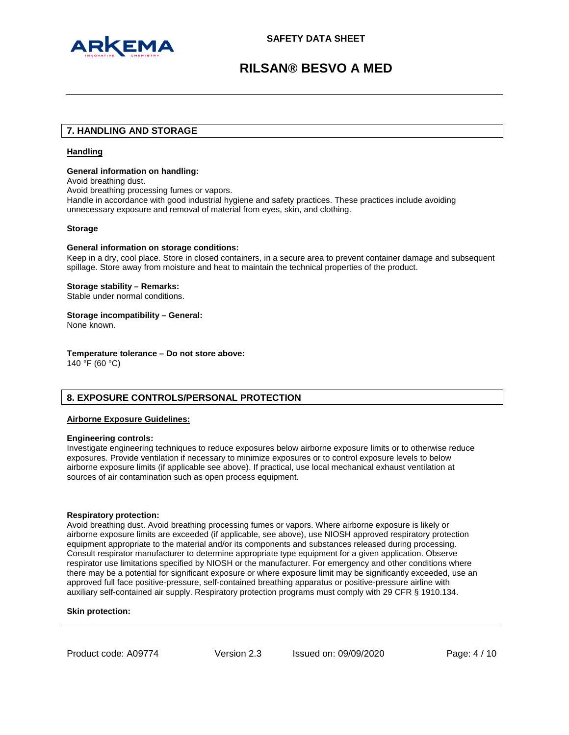

## **7. HANDLING AND STORAGE**

## **Handling**

## **General information on handling:**

Avoid breathing dust.

Avoid breathing processing fumes or vapors.

Handle in accordance with good industrial hygiene and safety practices. These practices include avoiding unnecessary exposure and removal of material from eyes, skin, and clothing.

## **Storage**

### **General information on storage conditions:**

Keep in a dry, cool place. Store in closed containers, in a secure area to prevent container damage and subsequent spillage. Store away from moisture and heat to maintain the technical properties of the product.

### **Storage stability – Remarks:**

Stable under normal conditions.

## **Storage incompatibility – General:**

None known.

### **Temperature tolerance – Do not store above:**

140 °F (60 °C)

## **8. EXPOSURE CONTROLS/PERSONAL PROTECTION**

## **Airborne Exposure Guidelines:**

### **Engineering controls:**

Investigate engineering techniques to reduce exposures below airborne exposure limits or to otherwise reduce exposures. Provide ventilation if necessary to minimize exposures or to control exposure levels to below airborne exposure limits (if applicable see above). If practical, use local mechanical exhaust ventilation at sources of air contamination such as open process equipment.

### **Respiratory protection:**

Avoid breathing dust. Avoid breathing processing fumes or vapors. Where airborne exposure is likely or airborne exposure limits are exceeded (if applicable, see above), use NIOSH approved respiratory protection equipment appropriate to the material and/or its components and substances released during processing. Consult respirator manufacturer to determine appropriate type equipment for a given application. Observe respirator use limitations specified by NIOSH or the manufacturer. For emergency and other conditions where there may be a potential for significant exposure or where exposure limit may be significantly exceeded, use an approved full face positive-pressure, self-contained breathing apparatus or positive-pressure airline with auxiliary self-contained air supply. Respiratory protection programs must comply with 29 CFR § 1910.134.

### **Skin protection:**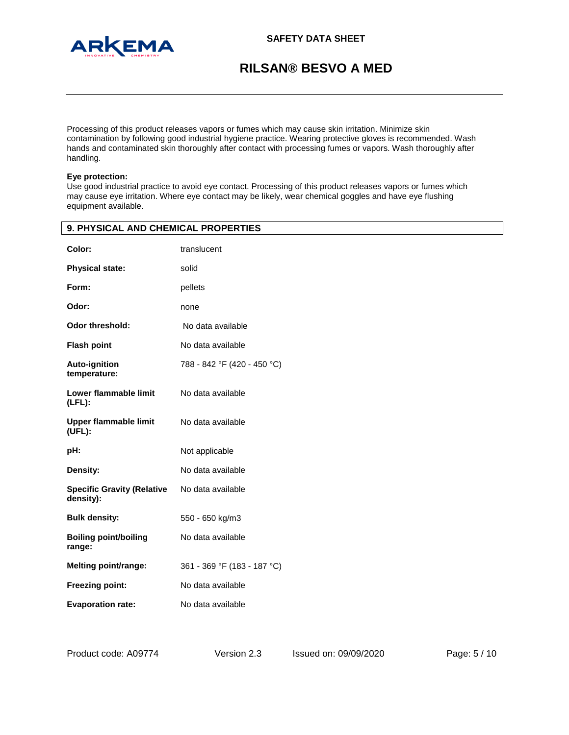

Processing of this product releases vapors or fumes which may cause skin irritation. Minimize skin contamination by following good industrial hygiene practice. Wearing protective gloves is recommended. Wash hands and contaminated skin thoroughly after contact with processing fumes or vapors. Wash thoroughly after handling.

## **Eye protection:**

Use good industrial practice to avoid eye contact. Processing of this product releases vapors or fumes which may cause eye irritation. Where eye contact may be likely, wear chemical goggles and have eye flushing equipment available.

| 9. PHYSICAL AND CHEMICAL PROPERTIES            |                             |  |
|------------------------------------------------|-----------------------------|--|
| Color:                                         | translucent                 |  |
| <b>Physical state:</b>                         | solid                       |  |
| Form:                                          | pellets                     |  |
| Odor:                                          | none                        |  |
| Odor threshold:                                | No data available           |  |
| <b>Flash point</b>                             | No data available           |  |
| <b>Auto-ignition</b><br>temperature:           | 788 - 842 °F (420 - 450 °C) |  |
| Lower flammable limit<br>$(LFL)$ :             | No data available           |  |
| <b>Upper flammable limit</b><br>(UFL):         | No data available           |  |
| pH:                                            | Not applicable              |  |
| Density:                                       | No data available           |  |
| <b>Specific Gravity (Relative</b><br>density): | No data available           |  |
| <b>Bulk density:</b>                           | 550 - 650 kg/m3             |  |
| <b>Boiling point/boiling</b><br>range:         | No data available           |  |
| Melting point/range:                           | 361 - 369 °F (183 - 187 °C) |  |
| <b>Freezing point:</b>                         | No data available           |  |
| <b>Evaporation rate:</b>                       | No data available           |  |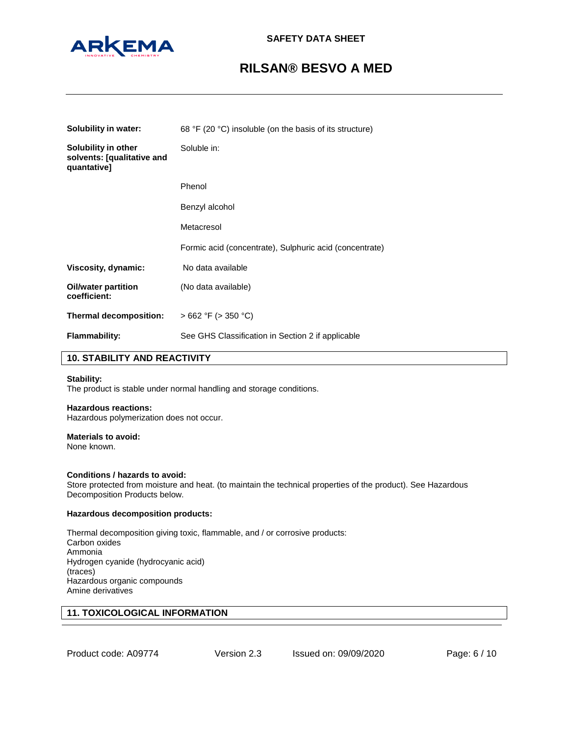

| Solubility in water:                                             | 68 °F (20 °C) insoluble (on the basis of its structure) |
|------------------------------------------------------------------|---------------------------------------------------------|
| Solubility in other<br>solvents: [qualitative and<br>quantative] | Soluble in:                                             |
|                                                                  | Phenol                                                  |
|                                                                  | Benzyl alcohol                                          |
|                                                                  | Metacresol                                              |
|                                                                  | Formic acid (concentrate), Sulphuric acid (concentrate) |
| Viscosity, dynamic:                                              | No data available                                       |
| <b>Oil/water partition</b><br>coefficient:                       | (No data available)                                     |
| Thermal decomposition:                                           | $>662$ °F ( $>350$ °C)                                  |
| <b>Flammability:</b>                                             | See GHS Classification in Section 2 if applicable       |

## **10. STABILITY AND REACTIVITY**

### **Stability:**

The product is stable under normal handling and storage conditions.

## **Hazardous reactions:**

Hazardous polymerization does not occur.

### **Materials to avoid:**

None known.

### **Conditions / hazards to avoid:**

Store protected from moisture and heat. (to maintain the technical properties of the product). See Hazardous Decomposition Products below.

### **Hazardous decomposition products:**

Thermal decomposition giving toxic, flammable, and / or corrosive products: Carbon oxides Ammonia Hydrogen cyanide (hydrocyanic acid) (traces) Hazardous organic compounds Amine derivatives

# **11. TOXICOLOGICAL INFORMATION**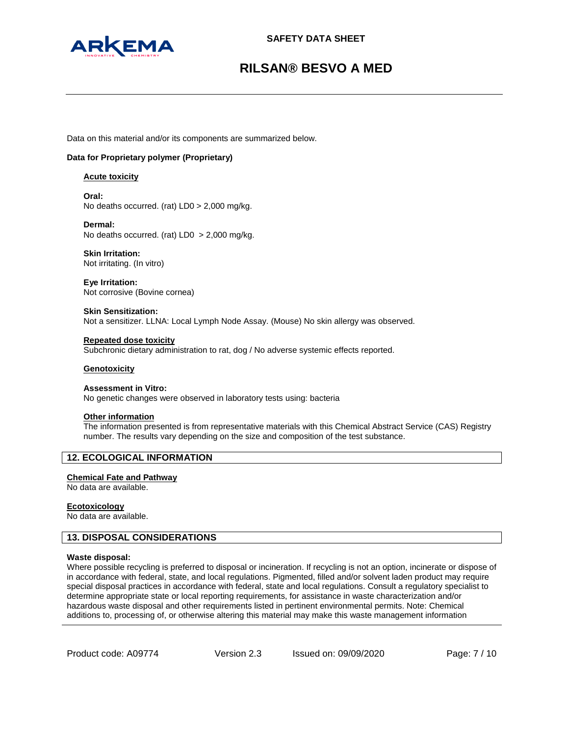

Data on this material and/or its components are summarized below.

## **Data for Proprietary polymer (Proprietary)**

### **Acute toxicity**

**Oral:** No deaths occurred. (rat) LD0 > 2,000 mg/kg.

**Dermal:** No deaths occurred. (rat) LD0 > 2,000 mg/kg.

**Skin Irritation:** Not irritating. (In vitro)

**Eye Irritation:** Not corrosive (Bovine cornea)

**Skin Sensitization:** Not a sensitizer. LLNA: Local Lymph Node Assay. (Mouse) No skin allergy was observed.

**Repeated dose toxicity** Subchronic dietary administration to rat, dog / No adverse systemic effects reported.

### **Genotoxicity**

## **Assessment in Vitro:**

No genetic changes were observed in laboratory tests using: bacteria

### **Other information**

The information presented is from representative materials with this Chemical Abstract Service (CAS) Registry number. The results vary depending on the size and composition of the test substance.

## **12. ECOLOGICAL INFORMATION**

### **Chemical Fate and Pathway**

No data are available.

### **Ecotoxicology**

No data are available.

## **13. DISPOSAL CONSIDERATIONS**

### **Waste disposal:**

Where possible recycling is preferred to disposal or incineration. If recycling is not an option, incinerate or dispose of in accordance with federal, state, and local regulations. Pigmented, filled and/or solvent laden product may require special disposal practices in accordance with federal, state and local regulations. Consult a regulatory specialist to determine appropriate state or local reporting requirements, for assistance in waste characterization and/or hazardous waste disposal and other requirements listed in pertinent environmental permits. Note: Chemical additions to, processing of, or otherwise altering this material may make this waste management information

Product code: A09774

Version 2.3 Issued on: 09/09/2020 Page: 7 / 10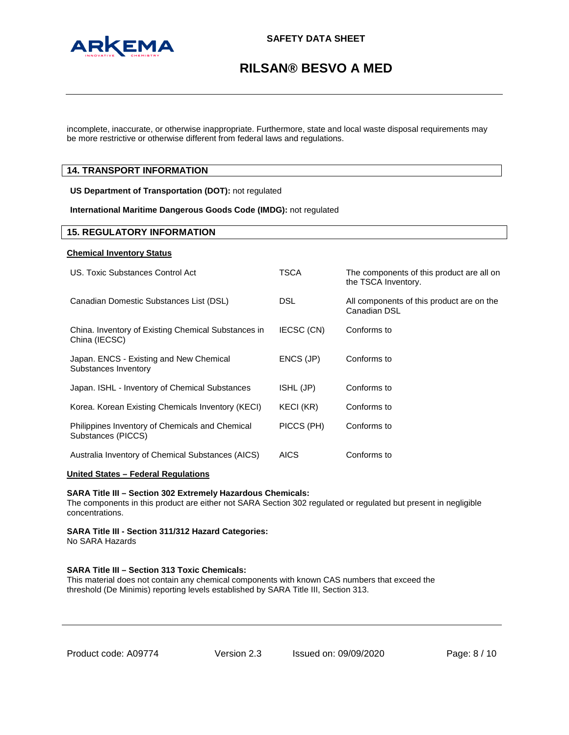

incomplete, inaccurate, or otherwise inappropriate. Furthermore, state and local waste disposal requirements may be more restrictive or otherwise different from federal laws and regulations.

## **14. TRANSPORT INFORMATION**

**US Department of Transportation (DOT):** not regulated

**International Maritime Dangerous Goods Code (IMDG):** not regulated

## **15. REGULATORY INFORMATION**

### **Chemical Inventory Status**

| US. Toxic Substances Control Act                                      | TSCA       | The components of this product are all on<br>the TSCA Inventory. |
|-----------------------------------------------------------------------|------------|------------------------------------------------------------------|
| Canadian Domestic Substances List (DSL)                               | DSL        | All components of this product are on the<br>Canadian DSL        |
| China. Inventory of Existing Chemical Substances in<br>China (IECSC)  | IECSC (CN) | Conforms to                                                      |
| Japan. ENCS - Existing and New Chemical<br>Substances Inventory       | ENCS (JP)  | Conforms to                                                      |
| Japan. ISHL - Inventory of Chemical Substances                        | ISHL (JP)  | Conforms to                                                      |
| Korea. Korean Existing Chemicals Inventory (KECI)                     | KECI (KR)  | Conforms to                                                      |
| Philippines Inventory of Chemicals and Chemical<br>Substances (PICCS) | PICCS (PH) | Conforms to                                                      |
| Australia Inventory of Chemical Substances (AICS)                     | AICS       | Conforms to                                                      |

## **United States – Federal Regulations**

### **SARA Title III – Section 302 Extremely Hazardous Chemicals:**

The components in this product are either not SARA Section 302 regulated or regulated but present in negligible concentrations.

**SARA Title III - Section 311/312 Hazard Categories:** No SARA Hazards

## **SARA Title III – Section 313 Toxic Chemicals:**

This material does not contain any chemical components with known CAS numbers that exceed the threshold (De Minimis) reporting levels established by SARA Title III, Section 313.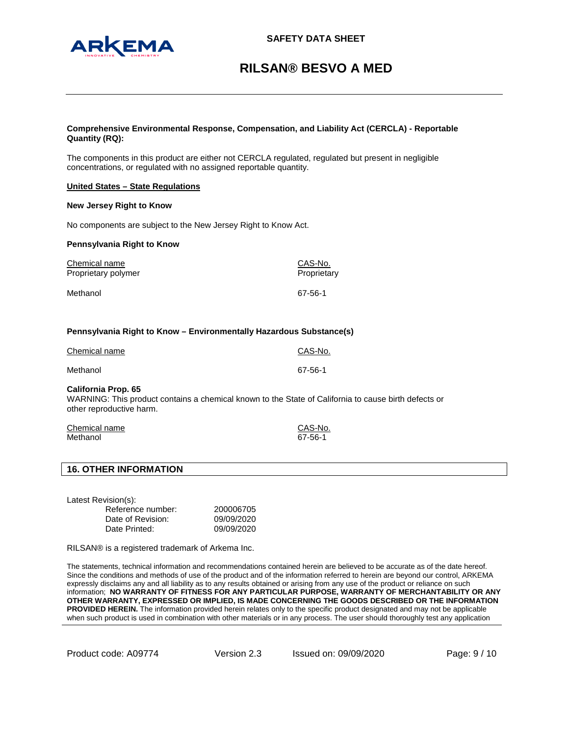## **Comprehensive Environmental Response, Compensation, and Liability Act (CERCLA) - Reportable Quantity (RQ):**

The components in this product are either not CERCLA regulated, regulated but present in negligible concentrations, or regulated with no assigned reportable quantity.

## **United States – State Regulations**

### **New Jersey Right to Know**

No components are subject to the New Jersey Right to Know Act.

### **Pennsylvania Right to Know**

| Chemical name       | CAS-No.     |
|---------------------|-------------|
| Proprietary polymer | Proprietary |
| Methanol            | 67-56-1     |

## **Pennsylvania Right to Know – Environmentally Hazardous Substance(s)**

| Chemical name | CAS-No. |
|---------------|---------|
| Methanol      | 67-56-1 |

## **California Prop. 65**

WARNING: This product contains a chemical known to the State of California to cause birth defects or other reproductive harm.

| Chemical name | CAS-No. |
|---------------|---------|
| Methanol      | 67-56-1 |

## **16. OTHER INFORMATION**

Latest Revision(s):

| Reference number: | 200006705  |
|-------------------|------------|
| Date of Revision: | 09/09/2020 |
| Date Printed:     | 09/09/2020 |

RILSAN® is a registered trademark of Arkema Inc.

The statements, technical information and recommendations contained herein are believed to be accurate as of the date hereof. Since the conditions and methods of use of the product and of the information referred to herein are beyond our control, ARKEMA expressly disclaims any and all liability as to any results obtained or arising from any use of the product or reliance on such information; **NO WARRANTY OF FITNESS FOR ANY PARTICULAR PURPOSE, WARRANTY OF MERCHANTABILITY OR ANY OTHER WARRANTY, EXPRESSED OR IMPLIED, IS MADE CONCERNING THE GOODS DESCRIBED OR THE INFORMATION PROVIDED HEREIN.** The information provided herein relates only to the specific product designated and may not be applicable when such product is used in combination with other materials or in any process. The user should thoroughly test any application